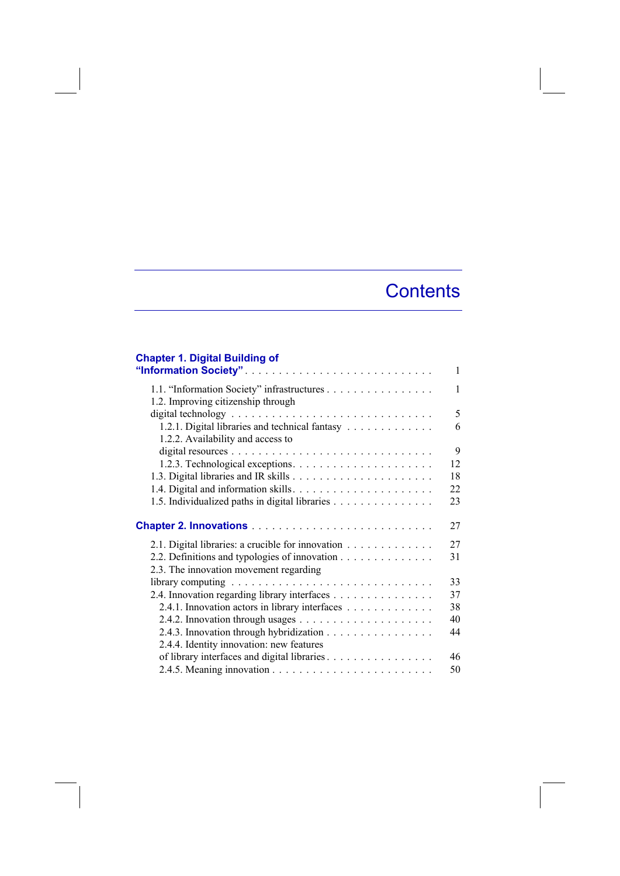## **Contents**

## **Chapter 1. Digital Building of**

|                                                                                     | $\mathbf{1}$ |
|-------------------------------------------------------------------------------------|--------------|
| 1.2. Improving citizenship through                                                  | 1            |
|                                                                                     | 5            |
| 1.2.1. Digital libraries and technical fantasy<br>1.2.2. Availability and access to | 6            |
|                                                                                     | 9            |
|                                                                                     | 12           |
|                                                                                     | 18           |
|                                                                                     | 22           |
| 1.5. Individualized paths in digital libraries                                      | 23           |
|                                                                                     | 27           |
| 2.1. Digital libraries: a crucible for innovation                                   | 27           |
| 2.2. Definitions and typologies of innovation                                       | 31           |
| 2.3. The innovation movement regarding                                              |              |
|                                                                                     | 33           |
| 2.4. Innovation regarding library interfaces                                        | 37           |
| 2.4.1. Innovation actors in library interfaces                                      | 38           |
|                                                                                     | 40           |
| 2.4.3. Innovation through hybridization                                             | 44           |
| 2.4.4. Identity innovation: new features                                            |              |
| of library interfaces and digital libraries                                         | 46           |
|                                                                                     | 50           |